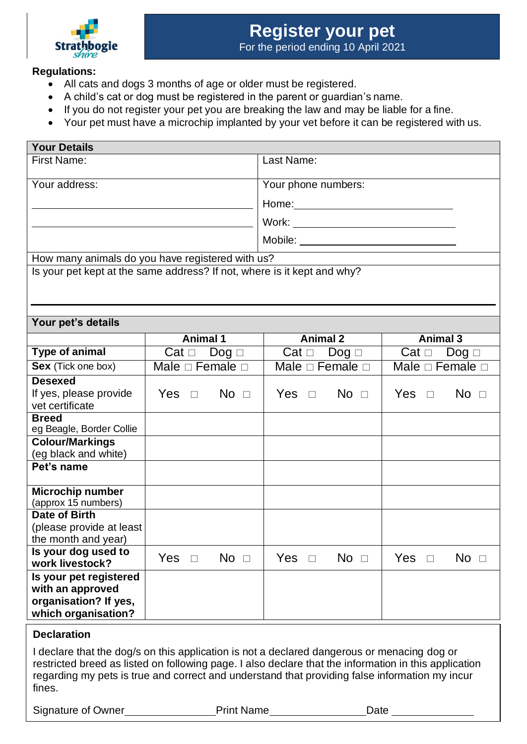

## **Regulations:**

**Your Details**

- All cats and dogs 3 months of age or older must be registered.
- A child's cat or dog must be registered in the parent or guardian's name.
- If you do not register your pet you are breaking the law and may be liable for a fine.
- Your pet must have a microchip implanted by your vet before it can be registered with us.

| i vui Delaiis<br><b>First Name:</b>                                     |                           | Last Name:                                                                                                                                                                                                                     |                                 |  |
|-------------------------------------------------------------------------|---------------------------|--------------------------------------------------------------------------------------------------------------------------------------------------------------------------------------------------------------------------------|---------------------------------|--|
|                                                                         |                           |                                                                                                                                                                                                                                |                                 |  |
| Your address:                                                           |                           | Your phone numbers:                                                                                                                                                                                                            |                                 |  |
|                                                                         |                           | Home: Note: Note: Note: Note: Note: Note: Note: Note: Note: Note: Note: Note: Note: Note: Note: Note: Note: No                                                                                                                 |                                 |  |
|                                                                         |                           |                                                                                                                                                                                                                                |                                 |  |
|                                                                         |                           | Mobile: The contract of the contract of the contract of the contract of the contract of the contract of the contract of the contract of the contract of the contract of the contract of the contract of the contract of the co |                                 |  |
| How many animals do you have registered with us?                        |                           |                                                                                                                                                                                                                                |                                 |  |
| Is your pet kept at the same address? If not, where is it kept and why? |                           |                                                                                                                                                                                                                                |                                 |  |
|                                                                         |                           |                                                                                                                                                                                                                                |                                 |  |
|                                                                         |                           |                                                                                                                                                                                                                                |                                 |  |
|                                                                         |                           |                                                                                                                                                                                                                                |                                 |  |
| Your pet's details                                                      |                           |                                                                                                                                                                                                                                |                                 |  |
|                                                                         | <b>Animal 1</b>           | <b>Animal 2</b>                                                                                                                                                                                                                | <b>Animal 3</b>                 |  |
| Type of animal                                                          | Cat $\Box$ Dog $\Box$     | Cat $\Box$ Dog $\Box$                                                                                                                                                                                                          | Cat $\Box$ Dog $\Box$           |  |
| Sex (Tick one box)                                                      | Male $\Box$ Female $\Box$ | Male $\square$ Female $\square$                                                                                                                                                                                                | Male $\square$ Female $\square$ |  |
| <b>Desexed</b>                                                          |                           |                                                                                                                                                                                                                                |                                 |  |
| If yes, please provide<br>vet certificate                               | Yes $\Box$ No $\Box$      | Yes $\Box$ No $\Box$                                                                                                                                                                                                           | Yes $\Box$ No $\Box$            |  |
| <b>Breed</b><br>eg Beagle, Border Collie                                |                           |                                                                                                                                                                                                                                |                                 |  |
| <b>Colour/Markings</b><br>(eg black and white)                          |                           |                                                                                                                                                                                                                                |                                 |  |
| Pet's name                                                              |                           |                                                                                                                                                                                                                                |                                 |  |
| Microchip number<br>(approx 15 numbers)                                 |                           |                                                                                                                                                                                                                                |                                 |  |
| Date of Birth                                                           |                           |                                                                                                                                                                                                                                |                                 |  |
| (please provide at least<br>the month and year)                         |                           |                                                                                                                                                                                                                                |                                 |  |
| Is your dog used to                                                     |                           |                                                                                                                                                                                                                                |                                 |  |
| work livestock?                                                         | $No$ $\Box$<br>Yes  □     | No $\Box$<br>Yes $\Box$                                                                                                                                                                                                        | $No$ $\Box$<br>Yes $\square$    |  |
| Is your pet registered                                                  |                           |                                                                                                                                                                                                                                |                                 |  |
| with an approved                                                        |                           |                                                                                                                                                                                                                                |                                 |  |
| organisation? If yes,<br>which organisation?                            |                           |                                                                                                                                                                                                                                |                                 |  |
|                                                                         |                           |                                                                                                                                                                                                                                |                                 |  |

## **Declaration**

I declare that the dog/s on this application is not a declared dangerous or menacing dog or restricted breed as listed on following page. I also declare that the information in this application regarding my pets is true and correct and understand that providing false information my incur fines.

Signature of Owner **Print Name** Print Name

| <b>Print Name</b> |
|-------------------|
|-------------------|